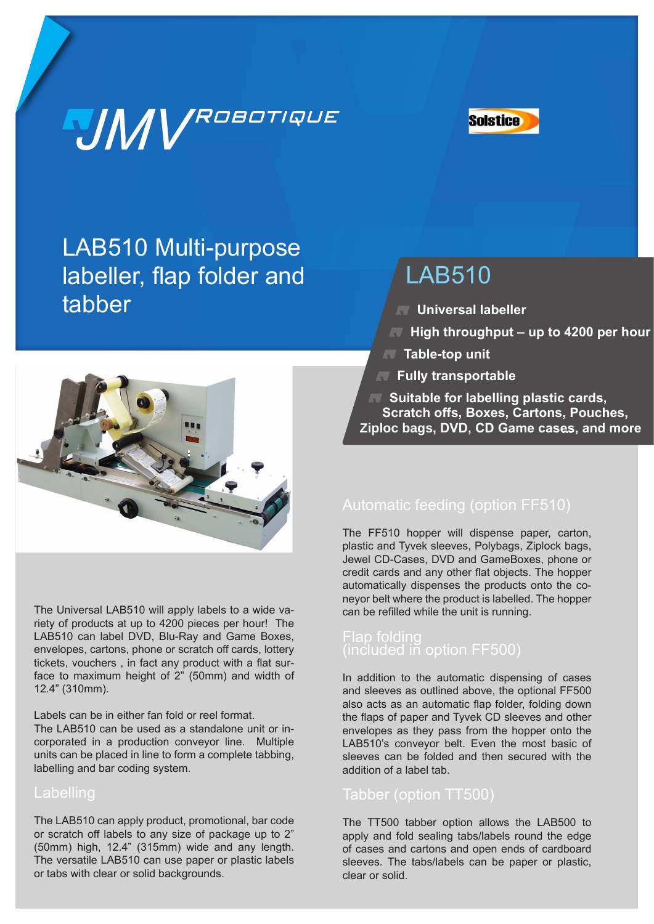# **JMV**ROBOTIQUE



LAB510 Multi-purpose labeller, flap folder and tabber

### LAB510

- **Universal labeller**
- **High throughput up to 4200 per hour**
- **Table-top unit**
- **Fully transportable**

*K* Suitable for labelling plastic cards, **Scratch offs, Boxes, Cartons, Pouches, Ziploc bags, DVD, CD Game cases, and more ...**



The Universal LAB510 will apply labels to a wide variety of products at up to 4200 pieces per hour! The LAB510 can label DVD, Blu-Ray and Game Boxes, envelopes, cartons, phone or scratch off cards, lottery tickets, vouchers , in fact any product with a flat surface to maximum height of 2" (50mm) and width of 12.4" (310mm).

Labels can be in either fan fold or reel format.

The LAB510 can be used as a standalone unit or incorporated in a production conveyor line. Multiple units can be placed in line to form a complete tabbing, labelling and bar coding system.

#### Labelling

The LAB510 can apply product, promotional, bar code or scratch off labels to any size of package up to 2" (50mm) high, 12.4" (315mm) wide and any length. The versatile LAB510 can use paper or plastic labels or tabs with clear or solid backgrounds.

The FF510 hopper will dispense paper, carton, plastic and Tyvek sleeves, Polybags, Ziplock bags, Jewel CD-Cases, DVD and GameBoxes, phone or credit cards and any other flat objects. The hopper automatically dispenses the products onto the coneyor belt where the product is labelled. The hopper can be refilled while the unit is running.

#### Flap folding (included in option FF500)

In addition to the automatic dispensing of cases and sleeves as outlined above, the optional FF500 also acts as an automatic flap folder, folding down the flaps of paper and Tyvek CD sleeves and other envelopes as they pass from the hopper onto the LAB510's conveyor belt. Even the most basic of sleeves can be folded and then secured with the addition of a label tab.

#### Tabber (option TT500)

The TT500 tabber option allows the LAB500 to apply and fold sealing tabs/labels round the edge of cases and cartons and open ends of cardboard sleeves. The tabs/labels can be paper or plastic, clear or solid.